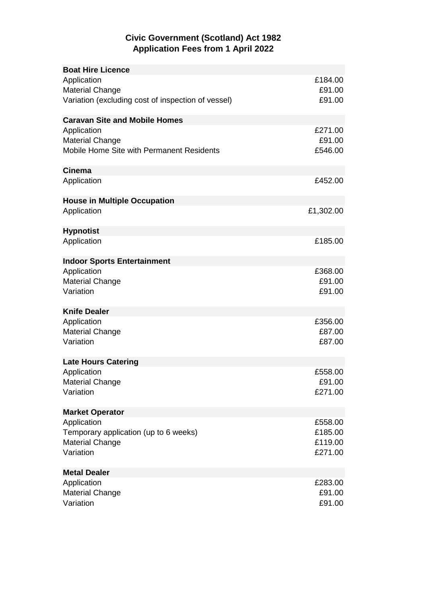## **Civic Government (Scotland) Act 1982 Application Fees from 1 April 2022**

| <b>Boat Hire Licence</b>                           |           |
|----------------------------------------------------|-----------|
| Application                                        | £184.00   |
| <b>Material Change</b>                             | £91.00    |
| Variation (excluding cost of inspection of vessel) | £91.00    |
|                                                    |           |
| <b>Caravan Site and Mobile Homes</b>               |           |
| Application                                        | £271.00   |
| <b>Material Change</b>                             | £91.00    |
| Mobile Home Site with Permanent Residents          | £546.00   |
| <b>Cinema</b>                                      |           |
| Application                                        | £452.00   |
|                                                    |           |
| <b>House in Multiple Occupation</b>                |           |
| Application                                        | £1,302.00 |
|                                                    |           |
| <b>Hypnotist</b>                                   |           |
| Application                                        | £185.00   |
|                                                    |           |
| <b>Indoor Sports Entertainment</b>                 |           |
| Application                                        | £368.00   |
| <b>Material Change</b>                             | £91.00    |
| Variation                                          | £91.00    |
|                                                    |           |
| <b>Knife Dealer</b>                                |           |
| Application                                        | £356.00   |
| <b>Material Change</b>                             | £87.00    |
| Variation                                          | £87.00    |
|                                                    |           |
| <b>Late Hours Catering</b>                         | £558.00   |
| Application<br><b>Material Change</b>              | £91.00    |
| Variation                                          | £271.00   |
|                                                    |           |
| <b>Market Operator</b>                             |           |
| Application                                        | £558.00   |
| Temporary application (up to 6 weeks)              | £185.00   |
| <b>Material Change</b>                             | £119.00   |
| Variation                                          | £271.00   |
|                                                    |           |
| <b>Metal Dealer</b>                                |           |
| Application                                        | £283.00   |
| <b>Material Change</b>                             | £91.00    |
| Variation                                          | £91.00    |